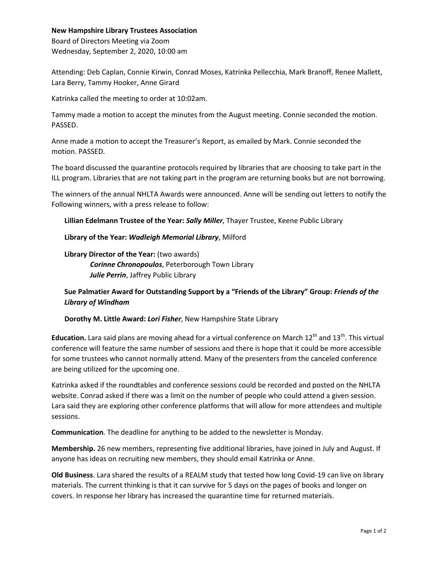## **New Hampshire Library Trustees Association**

Board of Directors Meeting via Zoom Wednesday, September 2, 2020, 10:00 am

Attending: Deb Caplan, Connie Kirwin, Conrad Moses, Katrinka Pellecchia, Mark Branoff, Renee Mallett, Lara Berry, Tammy Hooker, Anne Girard

Katrinka called the meeting to order at 10:02am.

Tammy made a motion to accept the minutes from the August meeting. Connie seconded the motion. PASSED.

Anne made a motion to accept the Treasurer's Report, as emailed by Mark. Connie seconded the motion. PASSED.

The board discussed the quarantine protocols required by libraries that are choosing to take part in the ILL program. Libraries that are not taking part in the program are returning books but are not borrowing.

The winners of the annual NHLTA Awards were announced. Anne will be sending out letters to notify the Following winners, with a press release to follow:

**Lillian Edelmann Trustee of the Year:** *Sally Miller*, Thayer Trustee, Keene Public Library

**Library of the Year:** *Wadleigh Memorial Library*, Milford

**Library Director of the Year:** (two awards) *Corinne Chronopoulos*, Peterborough Town Library *Julie Perrin*, Jaffrey Public Library

## **Sue Palmatier Award for Outstanding Support by a "Friends of the Library" Group:** *Friends of the Library of Windham*

**Dorothy M. Little Award:** *Lori Fisher*, New Hampshire State Library

Education. Lara said plans are moving ahead for a virtual conference on March 12<sup>th</sup> and 13<sup>th</sup>. This virtual conference will feature the same number of sessions and there is hope that it could be more accessible for some trustees who cannot normally attend. Many of the presenters from the canceled conference are being utilized for the upcoming one.

Katrinka asked if the roundtables and conference sessions could be recorded and posted on the NHLTA website. Conrad asked if there was a limit on the number of people who could attend a given session. Lara said they are exploring other conference platforms that will allow for more attendees and multiple sessions.

**Communication**. The deadline for anything to be added to the newsletter is Monday.

**Membership.** 26 new members, representing five additional libraries, have joined in July and August. If anyone has ideas on recruiting new members, they should email Katrinka or Anne.

**Old Business**. Lara shared the results of a REALM study that tested how long Covid-19 can live on library materials. The current thinking is that it can survive for 5 days on the pages of books and longer on covers. In response her library has increased the quarantine time for returned materials.